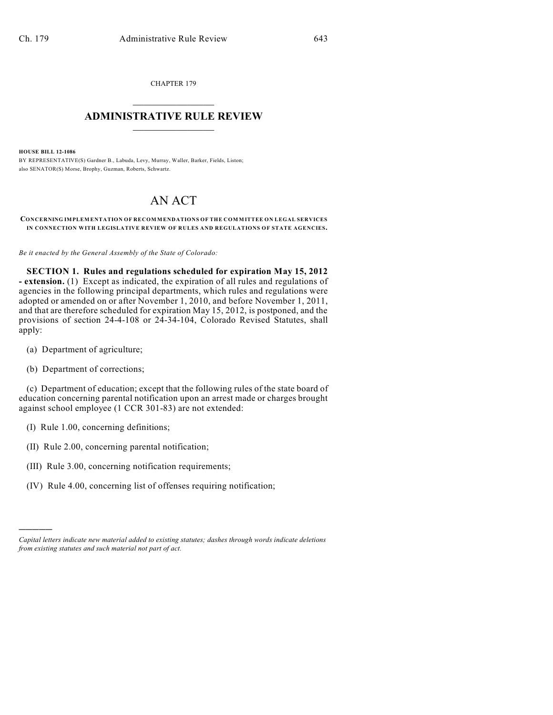CHAPTER 179  $\mathcal{L}_\text{max}$  . The set of the set of the set of the set of the set of the set of the set of the set of the set of the set of the set of the set of the set of the set of the set of the set of the set of the set of the set

## **ADMINISTRATIVE RULE REVIEW**  $\_$

**HOUSE BILL 12-1086**

BY REPRESENTATIVE(S) Gardner B., Labuda, Levy, Murray, Waller, Barker, Fields, Liston; also SENATOR(S) Morse, Brophy, Guzman, Roberts, Schwartz.

## AN ACT

## **CONCERNING IMPLEMENTATION OF RECOMMENDATIONS OF THE COMMITTEE ON LEGAL SERVICES IN CONNECTION WITH LEGISLATIVE REVIEW OF RULES AND REGULATIONS OF STATE AGENCIES.**

*Be it enacted by the General Assembly of the State of Colorado:*

**SECTION 1. Rules and regulations scheduled for expiration May 15, 2012 - extension.** (1) Except as indicated, the expiration of all rules and regulations of agencies in the following principal departments, which rules and regulations were adopted or amended on or after November 1, 2010, and before November 1, 2011, and that are therefore scheduled for expiration May 15, 2012, is postponed, and the provisions of section 24-4-108 or 24-34-104, Colorado Revised Statutes, shall apply:

- (a) Department of agriculture;
- (b) Department of corrections;

(c) Department of education; except that the following rules of the state board of education concerning parental notification upon an arrest made or charges brought against school employee (1 CCR 301-83) are not extended:

(I) Rule 1.00, concerning definitions;

)))))

- (II) Rule 2.00, concerning parental notification;
- (III) Rule 3.00, concerning notification requirements;
- (IV) Rule 4.00, concerning list of offenses requiring notification;

*Capital letters indicate new material added to existing statutes; dashes through words indicate deletions from existing statutes and such material not part of act.*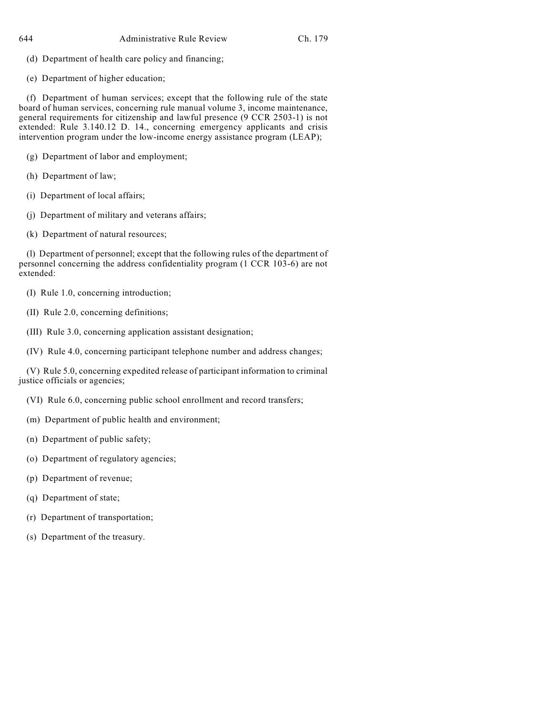- (d) Department of health care policy and financing;
- (e) Department of higher education;

(f) Department of human services; except that the following rule of the state board of human services, concerning rule manual volume 3, income maintenance, general requirements for citizenship and lawful presence (9 CCR 2503-1) is not extended: Rule 3.140.12 D. 14., concerning emergency applicants and crisis intervention program under the low-income energy assistance program (LEAP);

- (g) Department of labor and employment;
- (h) Department of law;
- (i) Department of local affairs;
- (j) Department of military and veterans affairs;
- (k) Department of natural resources;

(l) Department of personnel; except that the following rules of the department of personnel concerning the address confidentiality program (1 CCR 103-6) are not extended:

- (I) Rule 1.0, concerning introduction;
- (II) Rule 2.0, concerning definitions;
- (III) Rule 3.0, concerning application assistant designation;
- (IV) Rule 4.0, concerning participant telephone number and address changes;

(V) Rule 5.0, concerning expedited release of participant information to criminal justice officials or agencies;

- (VI) Rule 6.0, concerning public school enrollment and record transfers;
- (m) Department of public health and environment;
- (n) Department of public safety;
- (o) Department of regulatory agencies;
- (p) Department of revenue;
- (q) Department of state;
- (r) Department of transportation;
- (s) Department of the treasury.